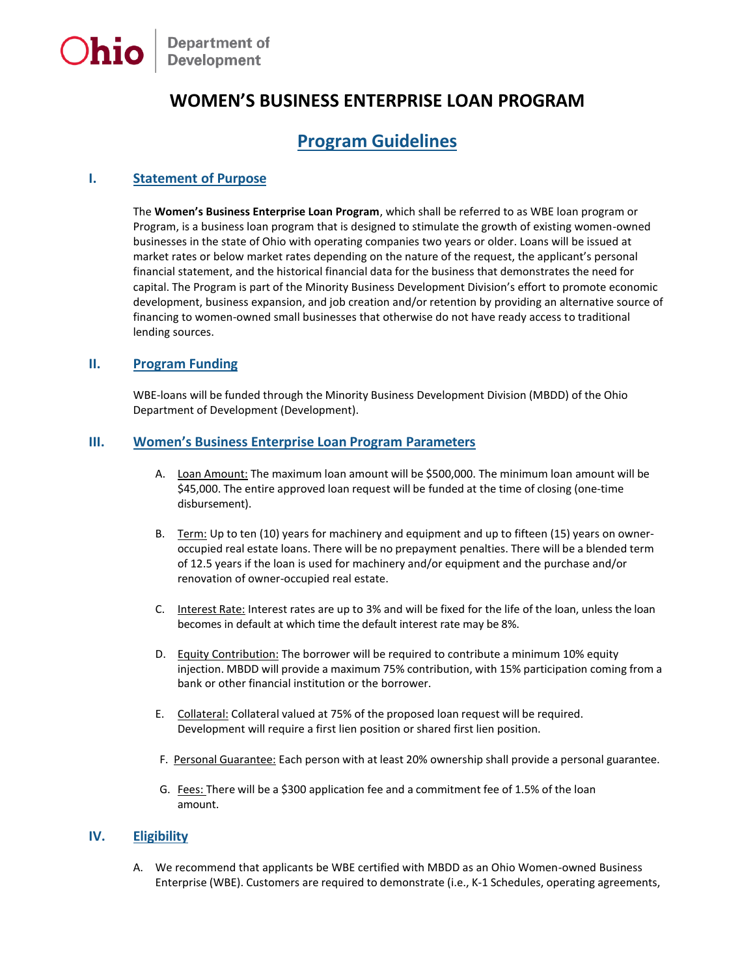# **WOMEN'S BUSINESS ENTERPRISE LOAN PROGRAM**

# **Program Guidelines**

## **I. Statement of Purpose**

The **Women's Business Enterprise Loan Program**, which shall be referred to as WBE loan program or Program, is a business loan program that is designed to stimulate the growth of existing women-owned businesses in the state of Ohio with operating companies two years or older. Loans will be issued at market rates or below market rates depending on the nature of the request, the applicant's personal financial statement, and the historical financial data for the business that demonstrates the need for capital. The Program is part of the Minority Business Development Division's effort to promote economic development, business expansion, and job creation and/or retention by providing an alternative source of financing to women-owned small businesses that otherwise do not have ready access to traditional lending sources.

#### **II. Program Funding**

WBE-loans will be funded through the Minority Business Development Division (MBDD) of the Ohio Department of Development (Development).

#### **III. Women's Business Enterprise Loan Program Parameters**

- A. Loan Amount: The maximum loan amount will be \$500,000. The minimum loan amount will be \$45,000. The entire approved loan request will be funded at the time of closing (one-time disbursement).
- B. Term: Up to ten (10) years for machinery and equipment and up to fifteen (15) years on owneroccupied real estate loans. There will be no prepayment penalties. There will be a blended term of 12.5 years if the loan is used for machinery and/or equipment and the purchase and/or renovation of owner-occupied real estate.
- C. Interest Rate: Interest rates are up to 3% and will be fixed for the life of the loan, unless the loan becomes in default at which time the default interest rate may be 8%.
- D. Equity Contribution: The borrower will be required to contribute a minimum 10% equity injection. MBDD will provide a maximum 75% contribution, with 15% participation coming from a bank or other financial institution or the borrower.
- E. Collateral: Collateral valued at 75% of the proposed loan request will be required. Development will require a first lien position or shared first lien position.
- F. Personal Guarantee: Each person with at least 20% ownership shall provide a personal guarantee.
- G. Fees: There will be a \$300 application fee and a commitment fee of 1.5% of the loan amount.

#### **IV. Eligibility**

A. We recommend that applicants be WBE certified with MBDD as an Ohio Women-owned Business Enterprise (WBE). Customers are required to demonstrate (i.e., K-1 Schedules, operating agreements,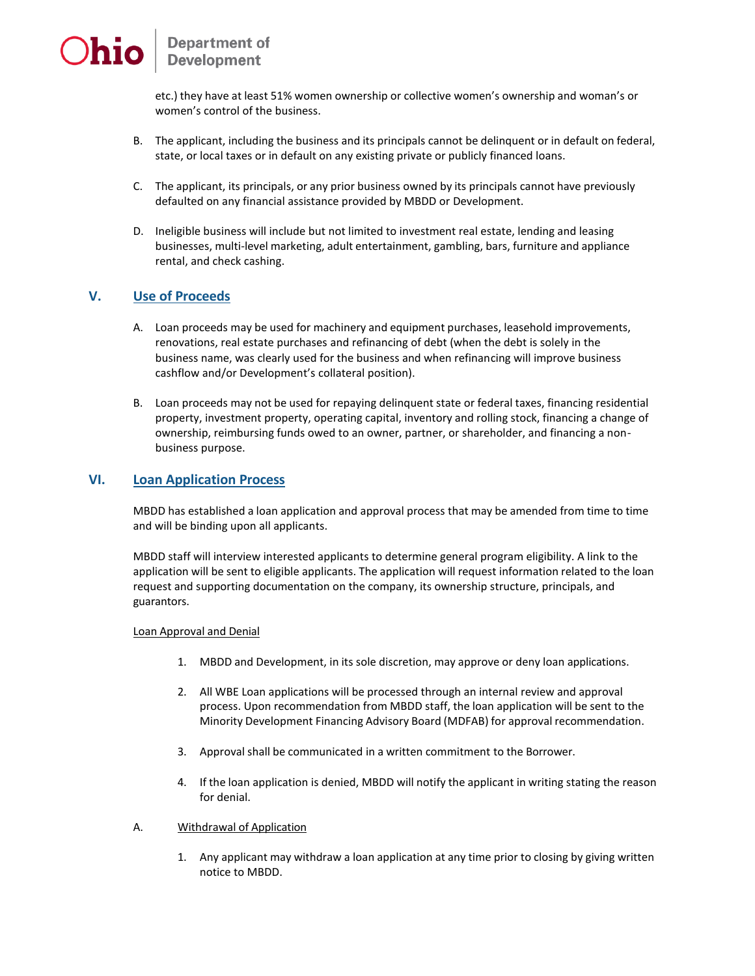etc.) they have at least 51% women ownership or collective women's ownership and woman's or women's control of the business.

- B. The applicant, including the business and its principals cannot be delinquent or in default on federal, state, or local taxes or in default on any existing private or publicly financed loans.
- C. The applicant, its principals, or any prior business owned by its principals cannot have previously defaulted on any financial assistance provided by MBDD or Development.
- D. Ineligible business will include but not limited to investment real estate, lending and leasing businesses, multi-level marketing, adult entertainment, gambling, bars, furniture and appliance rental, and check cashing.

## **V. Use of Proceeds**

- A. Loan proceeds may be used for machinery and equipment purchases, leasehold improvements, renovations, real estate purchases and refinancing of debt (when the debt is solely in the business name, was clearly used for the business and when refinancing will improve business cashflow and/or Development's collateral position).
- B. Loan proceeds may not be used for repaying delinquent state or federal taxes, financing residential property, investment property, operating capital, inventory and rolling stock, financing a change of ownership, reimbursing funds owed to an owner, partner, or shareholder, and financing a nonbusiness purpose.

## **VI. Loan Application Process**

MBDD has established a loan application and approval process that may be amended from time to time and will be binding upon all applicants.

MBDD staff will interview interested applicants to determine general program eligibility. A link to the application will be sent to eligible applicants. The application will request information related to the loan request and supporting documentation on the company, its ownership structure, principals, and guarantors.

#### Loan Approval and Denial

- 1. MBDD and Development, in its sole discretion, may approve or deny loan applications.
- 2. All WBE Loan applications will be processed through an internal review and approval process. Upon recommendation from MBDD staff, the loan application will be sent to the Minority Development Financing Advisory Board (MDFAB) for approval recommendation.
- 3. Approval shall be communicated in a written commitment to the Borrower.
- 4. If the loan application is denied, MBDD will notify the applicant in writing stating the reason for denial.

#### A. Withdrawal of Application

1. Any applicant may withdraw a loan application at any time prior to closing by giving written notice to MBDD.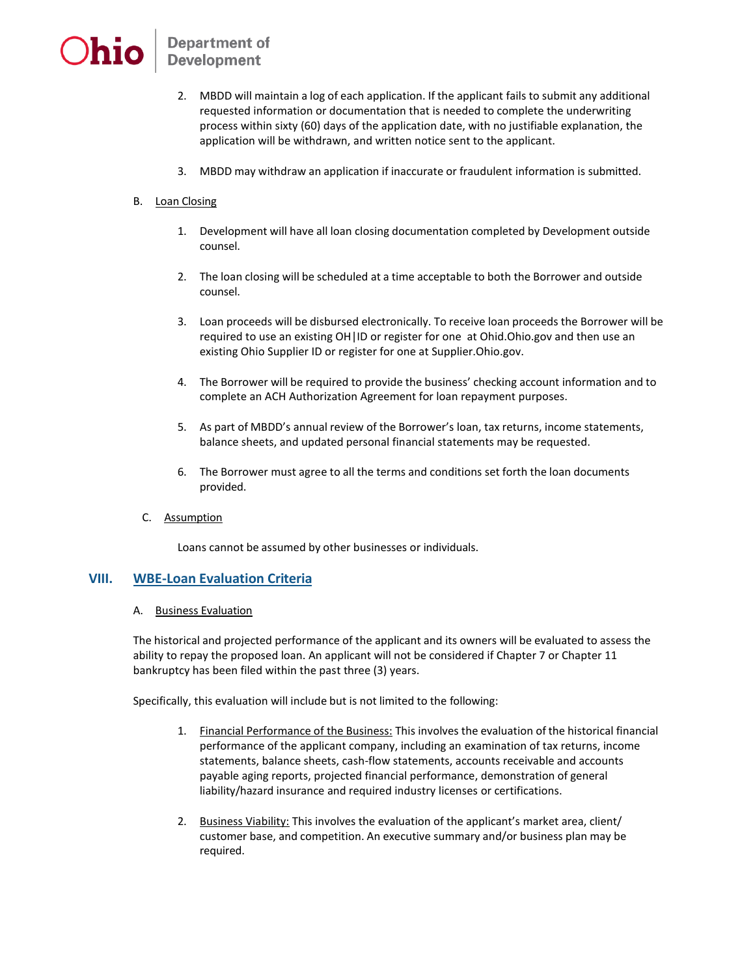## **Department of Development**

- 2. MBDD will maintain a log of each application. If the applicant fails to submit any additional requested information or documentation that is needed to complete the underwriting process within sixty (60) days of the application date, with no justifiable explanation, the application will be withdrawn, and written notice sent to the applicant.
- 3. MBDD may withdraw an application if inaccurate or fraudulent information is submitted.

### B. Loan Closing

- 1. Development will have all loan closing documentation completed by Development outside counsel.
- 2. The loan closing will be scheduled at a time acceptable to both the Borrower and outside counsel.
- 3. Loan proceeds will be disbursed electronically. To receive loan proceeds the Borrower will be required to use an existing OH|ID or register for one at Ohid.Ohio.gov and then use an existing Ohio Supplier ID or register for one at Supplier.Ohio.gov.
- 4. The Borrower will be required to provide the business' checking account information and to complete an ACH Authorization Agreement for loan repayment purposes.
- 5. As part of MBDD's annual review of the Borrower's loan, tax returns, income statements, balance sheets, and updated personal financial statements may be requested.
- 6. The Borrower must agree to all the terms and conditions set forth the loan documents provided.
- C. Assumption

Loans cannot be assumed by other businesses or individuals.

## **VIII. WBE-Loan Evaluation Criteria**

A. Business Evaluation

The historical and projected performance of the applicant and its owners will be evaluated to assess the ability to repay the proposed loan. An applicant will not be considered if Chapter 7 or Chapter 11 bankruptcy has been filed within the past three (3) years.

Specifically, this evaluation will include but is not limited to the following:

- 1. Financial Performance of the Business: This involves the evaluation of the historical financial performance of the applicant company, including an examination of tax returns, income statements, balance sheets, cash-flow statements, accounts receivable and accounts payable aging reports, projected financial performance, demonstration of general liability/hazard insurance and required industry licenses or certifications.
- 2. Business Viability: This involves the evaluation of the applicant's market area, client/ customer base, and competition. An executive summary and/or business plan may be required.